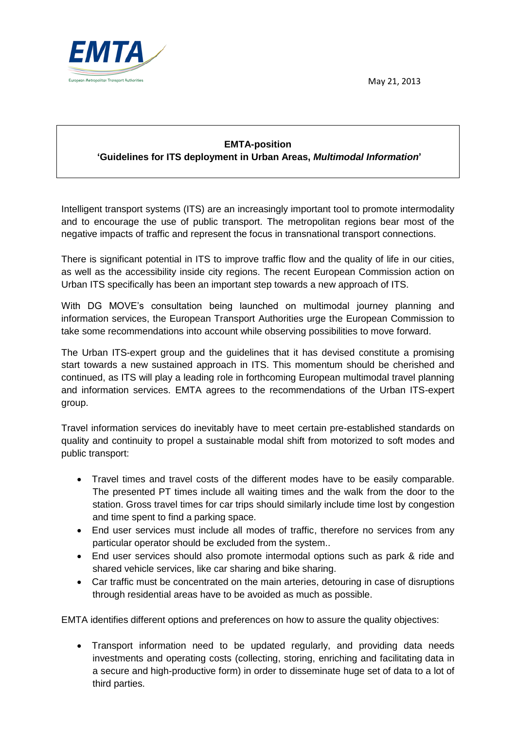May 21, 2013



## **EMTA-position 'Guidelines for ITS deployment in Urban Areas,** *Multimodal Information***'**

Intelligent transport systems (ITS) are an increasingly important tool to promote intermodality and to encourage the use of public transport. The metropolitan regions bear most of the negative impacts of traffic and represent the focus in transnational transport connections.

There is significant potential in ITS to improve traffic flow and the quality of life in our cities, as well as the accessibility inside city regions. The recent European Commission action on Urban ITS specifically has been an important step towards a new approach of ITS.

With DG MOVE's consultation being launched on multimodal journey planning and information services, the European Transport Authorities urge the European Commission to take some recommendations into account while observing possibilities to move forward.

The Urban ITS-expert group and the guidelines that it has devised constitute a promising start towards a new sustained approach in ITS. This momentum should be cherished and continued, as ITS will play a leading role in forthcoming European multimodal travel planning and information services. EMTA agrees to the recommendations of the Urban ITS-expert group.

Travel information services do inevitably have to meet certain pre-established standards on quality and continuity to propel a sustainable modal shift from motorized to soft modes and public transport:

- Travel times and travel costs of the different modes have to be easily comparable. The presented PT times include all waiting times and the walk from the door to the station. Gross travel times for car trips should similarly include time lost by congestion and time spent to find a parking space.
- End user services must include all modes of traffic, therefore no services from any particular operator should be excluded from the system..
- End user services should also promote intermodal options such as park & ride and shared vehicle services, like car sharing and bike sharing.
- Car traffic must be concentrated on the main arteries, detouring in case of disruptions through residential areas have to be avoided as much as possible.

EMTA identifies different options and preferences on how to assure the quality objectives:

 Transport information need to be updated regularly, and providing data needs investments and operating costs (collecting, storing, enriching and facilitating data in a secure and high-productive form) in order to disseminate huge set of data to a lot of third parties.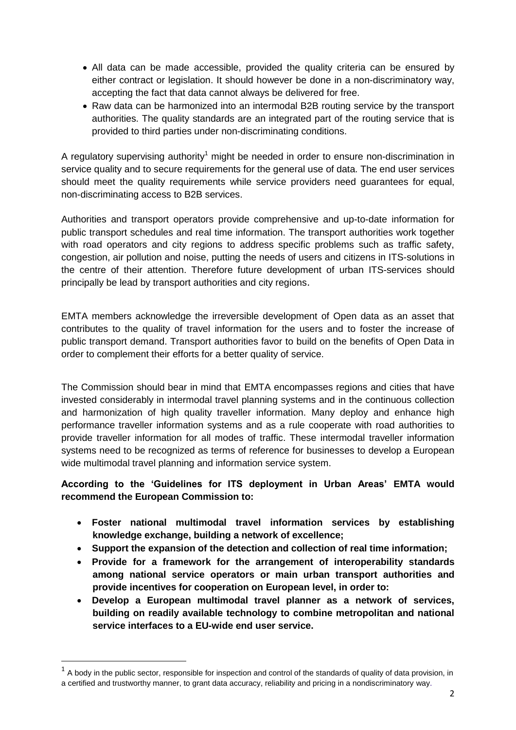- All data can be made accessible, provided the quality criteria can be ensured by either contract or legislation. It should however be done in a non-discriminatory way, accepting the fact that data cannot always be delivered for free.
- Raw data can be harmonized into an intermodal B2B routing service by the transport authorities. The quality standards are an integrated part of the routing service that is provided to third parties under non-discriminating conditions.

A regulatory supervising authority<sup>1</sup> might be needed in order to ensure non-discrimination in service quality and to secure requirements for the general use of data. The end user services should meet the quality requirements while service providers need guarantees for equal, non-discriminating access to B2B services.

Authorities and transport operators provide comprehensive and up-to-date information for public transport schedules and real time information. The transport authorities work together with road operators and city regions to address specific problems such as traffic safety, congestion, air pollution and noise, putting the needs of users and citizens in ITS-solutions in the centre of their attention. Therefore future development of urban ITS-services should principally be lead by transport authorities and city regions.

EMTA members acknowledge the irreversible development of Open data as an asset that contributes to the quality of travel information for the users and to foster the increase of public transport demand. Transport authorities favor to build on the benefits of Open Data in order to complement their efforts for a better quality of service.

The Commission should bear in mind that EMTA encompasses regions and cities that have invested considerably in intermodal travel planning systems and in the continuous collection and harmonization of high quality traveller information. Many deploy and enhance high performance traveller information systems and as a rule cooperate with road authorities to provide traveller information for all modes of traffic. These intermodal traveller information systems need to be recognized as terms of reference for businesses to develop a European wide multimodal travel planning and information service system.

## **According to the 'Guidelines for ITS deployment in Urban Areas' EMTA would recommend the European Commission to:**

- **Foster national multimodal travel information services by establishing knowledge exchange, building a network of excellence;**
- **Support the expansion of the detection and collection of real time information;**
- **Provide for a framework for the arrangement of interoperability standards among national service operators or main urban transport authorities and provide incentives for cooperation on European level, in order to:**
- **Develop a European multimodal travel planner as a network of services, building on readily available technology to combine metropolitan and national service interfaces to a EU-wide end user service.**

 $\overline{a}$ 

 $1$  A body in the public sector, responsible for inspection and control of the standards of quality of data provision, in a certified and trustworthy manner, to grant data accuracy, reliability and pricing in a nondiscriminatory way.